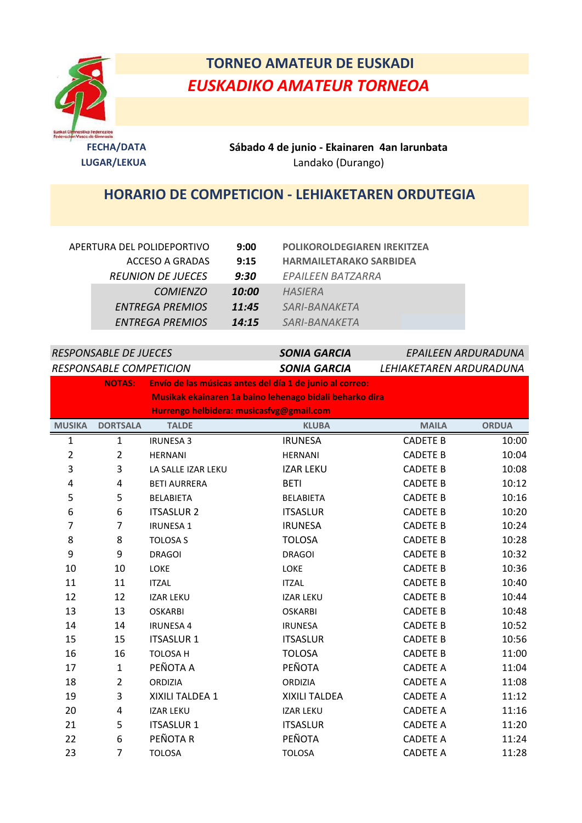

## **TORNEO AMATEUR DE EUSKADI** *EUSKADIKO AMATEUR TORNEOA*

**FECHA/DATA Sábado 4 de junio - Ekainaren 4an larunbata LUGAR/LEKUA** Landako (Durango)

## **HORARIO DE COMPETICION - LEHIAKETAREN ORDUTEGIA**

| APERTURA DEL POLIDEPORTIVO |                          | <b>POLIKOROLDEGIAREN IREKITZEA</b><br>9:00 |                                |  |
|----------------------------|--------------------------|--------------------------------------------|--------------------------------|--|
|                            | ACCESO A GRADAS          | 9:15                                       | <b>HARMAILETARAKO SARBIDEA</b> |  |
|                            | <b>REUNION DE JUECES</b> | 9:30                                       | EPAILEEN BATZARRA              |  |
|                            | <i>COMIENZO</i>          | 10:00                                      | HASIERA                        |  |
|                            | ENTREGA PREMIOS          | 11:45                                      | <i>SARI-BANAKETA</i>           |  |
|                            | ENTREGA PREMIOS          | 14:15                                      | <i>SARI-BANAKETA</i>           |  |

| <b>RESPONSABLE DE JUECES</b> |                                          | <b>SONIA GARCIA</b> | EPAILEEN ARDURADUNA                                      |                 |              |  |  |
|------------------------------|------------------------------------------|---------------------|----------------------------------------------------------|-----------------|--------------|--|--|
| RESPONSABLE COMPETICION      |                                          | <b>SONIA GARCIA</b> | LEHIAKETAREN ARDURADUNA                                  |                 |              |  |  |
|                              | <b>NOTAS:</b>                            |                     | Envío de las músicas antes del día 1 de junio al correo: |                 |              |  |  |
|                              |                                          |                     | Musikak ekainaren 1a baino lehenago bidali beharko dira  |                 |              |  |  |
|                              | Hurrengo helbidera: musicasfvg@gmail.com |                     |                                                          |                 |              |  |  |
| <b>MUSIKA</b>                | <b>DORTSALA</b>                          | <b>TALDE</b>        | <b>KLUBA</b>                                             | <b>MAILA</b>    | <b>ORDUA</b> |  |  |
| $\mathbf{1}$                 | $\mathbf{1}$                             | <b>IRUNESA 3</b>    | <b>IRUNESA</b>                                           | <b>CADETE B</b> | 10:00        |  |  |
| $\overline{2}$               | $\overline{2}$                           | <b>HERNANI</b>      | <b>HERNANI</b>                                           | <b>CADETE B</b> | 10:04        |  |  |
| 3                            | 3                                        | LA SALLE IZAR LEKU  | <b>IZAR LEKU</b>                                         | <b>CADETE B</b> | 10:08        |  |  |
| 4                            | 4                                        | <b>BETI AURRERA</b> | <b>BETI</b>                                              | <b>CADETE B</b> | 10:12        |  |  |
| 5                            | 5                                        | <b>BELABIETA</b>    | <b>BELABIETA</b>                                         | <b>CADETE B</b> | 10:16        |  |  |
| 6                            | 6                                        | <b>ITSASLUR 2</b>   | <b>ITSASLUR</b>                                          | <b>CADETE B</b> | 10:20        |  |  |
| 7                            | $\overline{7}$                           | <b>IRUNESA1</b>     | <b>IRUNESA</b>                                           | <b>CADETE B</b> | 10:24        |  |  |
| 8                            | 8                                        | <b>TOLOSA S</b>     | <b>TOLOSA</b>                                            | <b>CADETE B</b> | 10:28        |  |  |
| 9                            | 9                                        | <b>DRAGOI</b>       | <b>DRAGOI</b>                                            | <b>CADETE B</b> | 10:32        |  |  |
| 10                           | 10                                       | <b>LOKE</b>         | LOKE                                                     | <b>CADETE B</b> | 10:36        |  |  |
| 11                           | 11                                       | <b>ITZAL</b>        | <b>ITZAL</b>                                             | <b>CADETE B</b> | 10:40        |  |  |
| 12                           | 12                                       | <b>IZAR LEKU</b>    | <b>IZAR LEKU</b>                                         | <b>CADETE B</b> | 10:44        |  |  |
| 13                           | 13                                       | <b>OSKARBI</b>      | <b>OSKARBI</b>                                           | <b>CADETE B</b> | 10:48        |  |  |
| 14                           | 14                                       | <b>IRUNESA 4</b>    | <b>IRUNESA</b>                                           | <b>CADETE B</b> | 10:52        |  |  |
| 15                           | 15                                       | <b>ITSASLUR 1</b>   | <b>ITSASLUR</b>                                          | <b>CADETE B</b> | 10:56        |  |  |
| 16                           | 16                                       | TOLOSA H            | <b>TOLOSA</b>                                            | <b>CADETE B</b> | 11:00        |  |  |
| 17                           | $\mathbf{1}$                             | PEÑOTA A            | PEÑOTA                                                   | <b>CADETE A</b> | 11:04        |  |  |
| 18                           | $\overline{2}$                           | ORDIZIA             | ORDIZIA                                                  | <b>CADETE A</b> | 11:08        |  |  |
| 19                           | 3                                        | XIXILI TALDEA 1     | XIXILI TALDEA                                            | <b>CADETE A</b> | 11:12        |  |  |
| 20                           | 4                                        | <b>IZAR LEKU</b>    | <b>IZAR LEKU</b>                                         | <b>CADETE A</b> | 11:16        |  |  |
| 21                           | 5                                        | <b>ITSASLUR 1</b>   | <b>ITSASLUR</b>                                          | <b>CADETE A</b> | 11:20        |  |  |
| 22                           | 6                                        | PEÑOTA R            | PEÑOTA                                                   | <b>CADETE A</b> | 11:24        |  |  |
| 23                           | $\overline{7}$                           | <b>TOLOSA</b>       | <b>TOLOSA</b>                                            | <b>CADETE A</b> | 11:28        |  |  |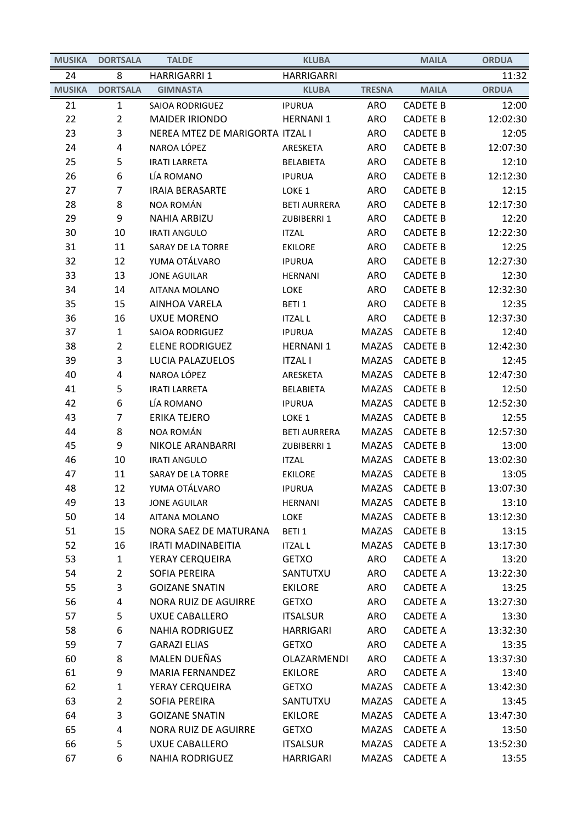| <b>MUSIKA</b> | <b>DORTSALA</b> | <b>TALDE</b>                    | <b>KLUBA</b>        |               | <b>MAILA</b>    | <b>ORDUA</b> |
|---------------|-----------------|---------------------------------|---------------------|---------------|-----------------|--------------|
| 24            | 8               | <b>HARRIGARRI 1</b>             | <b>HARRIGARRI</b>   |               |                 | 11:32        |
| <b>MUSIKA</b> | <b>DORTSALA</b> | <b>GIMNASTA</b>                 | <b>KLUBA</b>        | <b>TRESNA</b> | <b>MAILA</b>    | <b>ORDUA</b> |
| 21            | $\mathbf{1}$    | <b>SAIOA RODRIGUEZ</b>          | <b>IPURUA</b>       | <b>ARO</b>    | <b>CADETE B</b> | 12:00        |
| 22            | $\overline{2}$  | <b>MAIDER IRIONDO</b>           | <b>HERNANI 1</b>    | <b>ARO</b>    | <b>CADETE B</b> | 12:02:30     |
| 23            | 3               | NEREA MTEZ DE MARIGORTA ITZAL I |                     | <b>ARO</b>    | <b>CADETE B</b> | 12:05        |
| 24            | 4               | NAROA LÓPEZ                     | ARESKETA            | <b>ARO</b>    | <b>CADETE B</b> | 12:07:30     |
| 25            | 5               | <b>IRATI LARRETA</b>            | <b>BELABIETA</b>    | <b>ARO</b>    | <b>CADETE B</b> | 12:10        |
| 26            | 6               | LÍA ROMANO                      | <b>IPURUA</b>       | <b>ARO</b>    | <b>CADETE B</b> | 12:12:30     |
| 27            | 7               | <b>IRAIA BERASARTE</b>          | LOKE <sub>1</sub>   | <b>ARO</b>    | <b>CADETE B</b> | 12:15        |
| 28            | 8               | NOA ROMÁN                       | <b>BETI AURRERA</b> | <b>ARO</b>    | <b>CADETE B</b> | 12:17:30     |
| 29            | 9               | <b>NAHIA ARBIZU</b>             | ZUBIBERRI 1         | <b>ARO</b>    | <b>CADETE B</b> | 12:20        |
| 30            | 10              | <b>IRATI ANGULO</b>             | <b>ITZAL</b>        | <b>ARO</b>    | <b>CADETE B</b> | 12:22:30     |
| 31            | 11              | SARAY DE LA TORRE               | <b>EKILORE</b>      | <b>ARO</b>    | <b>CADETE B</b> | 12:25        |
| 32            | 12              | YUMA OTÁLVARO                   | <b>IPURUA</b>       | <b>ARO</b>    | <b>CADETE B</b> | 12:27:30     |
| 33            | 13              | <b>JONE AGUILAR</b>             | <b>HERNANI</b>      | <b>ARO</b>    | <b>CADETE B</b> | 12:30        |
| 34            | 14              | AITANA MOLANO                   | LOKE                | <b>ARO</b>    | <b>CADETE B</b> | 12:32:30     |
| 35            | 15              | <b>AINHOA VARELA</b>            | BETI 1              | <b>ARO</b>    | <b>CADETE B</b> | 12:35        |
| 36            | 16              | <b>UXUE MORENO</b>              | <b>ITZAL L</b>      | <b>ARO</b>    | <b>CADETE B</b> | 12:37:30     |
| 37            | $\mathbf{1}$    | SAIOA RODRIGUEZ                 | <b>IPURUA</b>       | MAZAS         | <b>CADETE B</b> | 12:40        |
| 38            | $\overline{2}$  | <b>ELENE RODRIGUEZ</b>          | <b>HERNANI 1</b>    | <b>MAZAS</b>  | <b>CADETE B</b> | 12:42:30     |
| 39            | 3               | LUCIA PALAZUELOS                | <b>ITZAL I</b>      | <b>MAZAS</b>  | <b>CADETE B</b> | 12:45        |
| 40            | 4               | NAROA LÓPEZ                     | ARESKETA            | <b>MAZAS</b>  | <b>CADETE B</b> | 12:47:30     |
| 41            | 5               | <b>IRATI LARRETA</b>            | <b>BELABIETA</b>    | <b>MAZAS</b>  | <b>CADETE B</b> | 12:50        |
| 42            | 6               | LÍA ROMANO                      | <b>IPURUA</b>       | <b>MAZAS</b>  | <b>CADETE B</b> | 12:52:30     |
| 43            | 7               | <b>ERIKA TEJERO</b>             | LOKE <sub>1</sub>   | <b>MAZAS</b>  | <b>CADETE B</b> | 12:55        |
| 44            | 8               | NOA ROMÁN                       | <b>BETI AURRERA</b> | <b>MAZAS</b>  | <b>CADETE B</b> | 12:57:30     |
| 45            | 9               | <b>NIKOLE ARANBARRI</b>         | ZUBIBERRI 1         | <b>MAZAS</b>  | <b>CADETE B</b> | 13:00        |
| 46            | 10              | <b>IRATI ANGULO</b>             | <b>ITZAL</b>        | <b>MAZAS</b>  | <b>CADETE B</b> | 13:02:30     |
| 47            | 11              | SARAY DE LA TORRE               | <b>EKILORE</b>      | MAZAS         | <b>CADETE B</b> | 13:05        |
| 48            | 12              | YUMA OTÁLVARO                   | <b>IPURUA</b>       | <b>MAZAS</b>  | <b>CADETE B</b> | 13:07:30     |
| 49            | 13              | <b>JONE AGUILAR</b>             | HERNANI             | MAZAS         | <b>CADETE B</b> | 13:10        |
| 50            | 14              | AITANA MOLANO                   | LOKE                | MAZAS         | <b>CADETE B</b> | 13:12:30     |
| 51            | 15              | NORA SAEZ DE MATURANA           | BETI <sub>1</sub>   | MAZAS         | <b>CADETE B</b> | 13:15        |
| 52            | 16              | <b>IRATI MADINABEITIA</b>       | <b>ITZAL L</b>      | MAZAS         | <b>CADETE B</b> | 13:17:30     |
| 53            | $\mathbf{1}$    | YERAY CERQUEIRA                 | <b>GETXO</b>        | ARO           | <b>CADETE A</b> | 13:20        |
| 54            | $\overline{2}$  | SOFIA PEREIRA                   | SANTUTXU            | ARO           | <b>CADETE A</b> | 13:22:30     |
| 55            | 3               | <b>GOIZANE SNATIN</b>           | <b>EKILORE</b>      | ARO           | <b>CADETE A</b> | 13:25        |
| 56            | 4               | NORA RUIZ DE AGUIRRE            | <b>GETXO</b>        | ARO           | <b>CADETE A</b> | 13:27:30     |
| 57            | 5               | <b>UXUE CABALLERO</b>           | <b>ITSALSUR</b>     | ARO           | <b>CADETE A</b> | 13:30        |
| 58            | 6               | <b>NAHIA RODRIGUEZ</b>          | <b>HARRIGARI</b>    | ARO           | <b>CADETE A</b> | 13:32:30     |
| 59            | $\overline{7}$  | <b>GARAZI ELIAS</b>             | <b>GETXO</b>        | ARO           | <b>CADETE A</b> | 13:35        |
| 60            | 8               | MALEN DUEÑAS                    | OLAZARMENDI         | ARO           | <b>CADETE A</b> | 13:37:30     |
| 61            | 9               | <b>MARIA FERNANDEZ</b>          | <b>EKILORE</b>      | ARO           | <b>CADETE A</b> | 13:40        |
| 62            | 1               | YERAY CERQUEIRA                 | <b>GETXO</b>        | <b>MAZAS</b>  | <b>CADETE A</b> | 13:42:30     |
| 63            | $\overline{2}$  | SOFIA PEREIRA                   | SANTUTXU            | <b>MAZAS</b>  | <b>CADETE A</b> | 13:45        |
| 64            | 3               | <b>GOIZANE SNATIN</b>           | <b>EKILORE</b>      | MAZAS         | <b>CADETE A</b> | 13:47:30     |
| 65            | 4               | NORA RUIZ DE AGUIRRE            | <b>GETXO</b>        | MAZAS         | <b>CADETE A</b> | 13:50        |
| 66            | 5               | <b>UXUE CABALLERO</b>           | <b>ITSALSUR</b>     | <b>MAZAS</b>  | <b>CADETE A</b> | 13:52:30     |
| 67            | 6               | <b>NAHIA RODRIGUEZ</b>          | HARRIGARI           | MAZAS         | <b>CADETE A</b> | 13:55        |